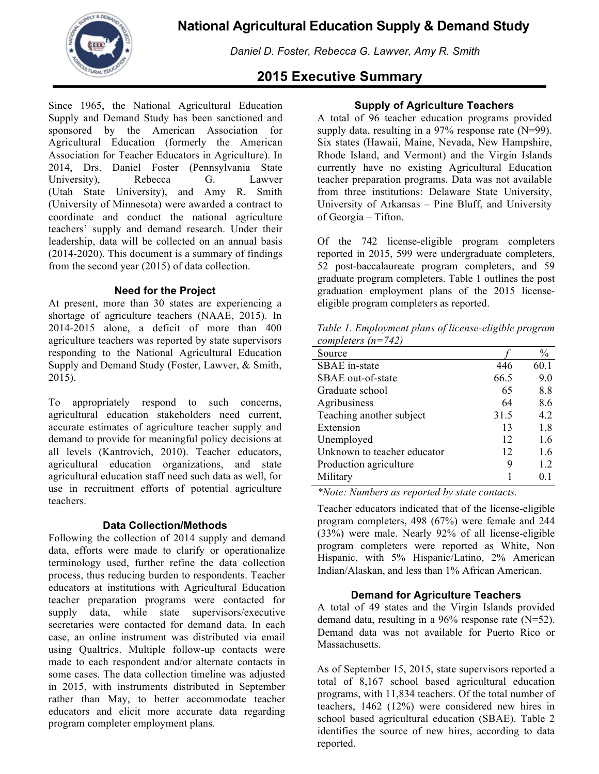*Daniel D. Foster, Rebecca G. Lawver, Amy R. Smith*

# **2015 Executive Summary**

Since 1965, the National Agricultural Education Supply and Demand Study has been sanctioned and sponsored by the American Association for Agricultural Education (formerly the American Association for Teacher Educators in Agriculture). In 2014, Drs. Daniel Foster (Pennsylvania State University), Rebecca G. Lawver (Utah State University), and Amy R. Smith (University of Minnesota) were awarded a contract to coordinate and conduct the national agriculture teachers' supply and demand research. Under their leadership, data will be collected on an annual basis (2014-2020). This document is a summary of findings from the second year (2015) of data collection.

### **Need for the Project**

At present, more than 30 states are experiencing a shortage of agriculture teachers (NAAE, 2015). In 2014-2015 alone, a deficit of more than 400 agriculture teachers was reported by state supervisors responding to the National Agricultural Education Supply and Demand Study (Foster, Lawver, & Smith, 2015).

To appropriately respond to such concerns, agricultural education stakeholders need current, accurate estimates of agriculture teacher supply and demand to provide for meaningful policy decisions at all levels (Kantrovich, 2010). Teacher educators, agricultural education organizations, and state agricultural education staff need such data as well, for use in recruitment efforts of potential agriculture teachers.

### **Data Collection/Methods**

Following the collection of 2014 supply and demand data, efforts were made to clarify or operationalize terminology used, further refine the data collection process, thus reducing burden to respondents. Teacher educators at institutions with Agricultural Education teacher preparation programs were contacted for supply data, while state supervisors/executive secretaries were contacted for demand data. In each case, an online instrument was distributed via email using Qualtrics. Multiple follow-up contacts were made to each respondent and/or alternate contacts in some cases. The data collection timeline was adjusted in 2015, with instruments distributed in September rather than May, to better accommodate teacher educators and elicit more accurate data regarding program completer employment plans.

## **Supply of Agriculture Teachers**

A total of 96 teacher education programs provided supply data, resulting in a  $97\%$  response rate (N=99). Six states (Hawaii, Maine, Nevada, New Hampshire, Rhode Island, and Vermont) and the Virgin Islands currently have no existing Agricultural Education teacher preparation programs. Data was not available from three institutions: Delaware State University, University of Arkansas – Pine Bluff, and University of Georgia – Tifton.

Of the 742 license-eligible program completers reported in 2015, 599 were undergraduate completers, 52 post-baccalaureate program completers, and 59 graduate program completers. Table 1 outlines the post graduation employment plans of the 2015 licenseeligible program completers as reported.

*Table 1. Employment plans of license-eligible program completers (n=742)*

| Source                      |      | $\frac{0}{0}$ |
|-----------------------------|------|---------------|
| <b>SBAE</b> in-state        | 446  | 60.1          |
| SBAE out-of-state           | 66.5 | 9.0           |
| Graduate school             | 65   | 8.8           |
| Agribusiness                | 64   | 8.6           |
| Teaching another subject    | 31.5 | 4.2           |
| Extension                   | 13   | 1.8           |
| Unemployed                  | 12   | 1.6           |
| Unknown to teacher educator | 12   | 1.6           |
| Production agriculture      | 9    | 1.2           |
| Military                    |      | 01            |
|                             |      |               |

*\*Note: Numbers as reported by state contacts.*

Teacher educators indicated that of the license-eligible program completers, 498 (67%) were female and 244 (33%) were male. Nearly 92% of all license-eligible program completers were reported as White, Non Hispanic, with 5% Hispanic/Latino, 2% American Indian/Alaskan, and less than 1% African American.

### **Demand for Agriculture Teachers**

A total of 49 states and the Virgin Islands provided demand data, resulting in a  $96\%$  response rate (N=52). Demand data was not available for Puerto Rico or Massachusetts.

As of September 15, 2015, state supervisors reported a total of 8,167 school based agricultural education programs, with 11,834 teachers. Of the total number of teachers, 1462 (12%) were considered new hires in school based agricultural education (SBAE). Table 2 identifies the source of new hires, according to data reported.